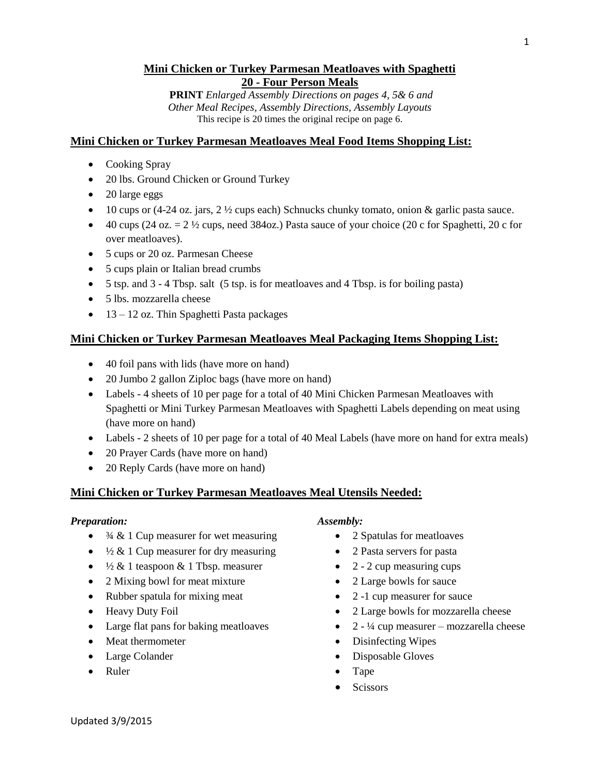## **Mini Chicken or Turkey Parmesan Meatloaves with Spaghetti 20 - Four Person Meals**

**PRINT** *Enlarged Assembly Directions on pages 4, 5& 6 and Other Meal Recipes, Assembly Directions, Assembly Layouts* This recipe is 20 times the original recipe on page 6.

#### **Mini Chicken or Turkey Parmesan Meatloaves Meal Food Items Shopping List:**

- Cooking Spray
- 20 lbs. Ground Chicken or Ground Turkey
- 20 large eggs
- 10 cups or (4-24 oz. jars,  $2 \frac{1}{2}$  cups each) Schnucks chunky tomato, onion & garlic pasta sauce.
- $\bullet$  40 cups (24 oz.  $= 2 \frac{1}{2}$  cups, need 384oz.) Pasta sauce of your choice (20 c for Spaghetti, 20 c for over meatloaves).
- 5 cups or 20 oz. Parmesan Cheese
- 5 cups plain or Italian bread crumbs
- 5 tsp. and 3 4 Tbsp. salt (5 tsp. is for meatloaves and 4 Tbsp. is for boiling pasta)
- 5 lbs. mozzarella cheese
- $\bullet$  13 12 oz. Thin Spaghetti Pasta packages

#### **Mini Chicken or Turkey Parmesan Meatloaves Meal Packaging Items Shopping List:**

- 40 foil pans with lids (have more on hand)
- 20 Jumbo 2 gallon Ziploc bags (have more on hand)
- Labels 4 sheets of 10 per page for a total of 40 Mini Chicken Parmesan Meatloaves with Spaghetti or Mini Turkey Parmesan Meatloaves with Spaghetti Labels depending on meat using (have more on hand)
- Labels 2 sheets of 10 per page for a total of 40 Meal Labels (have more on hand for extra meals)
- 20 Prayer Cards (have more on hand)
- 20 Reply Cards (have more on hand)

#### **Mini Chicken or Turkey Parmesan Meatloaves Meal Utensils Needed:**

#### *Preparation:*

- $\frac{3}{4}$  & 1 Cup measurer for wet measuring
- $\frac{1}{2}$  & 1 Cup measurer for dry measuring
- $\frac{1}{2}$  & 1 teaspoon & 1 Tbsp. measurer
- 2 Mixing bowl for meat mixture
- Rubber spatula for mixing meat
- Heavy Duty Foil
- Large flat pans for baking meatloaves
- Meat thermometer
- Large Colander
- Ruler

#### *Assembly:*

- 2 Spatulas for meatloaves
- 2 Pasta servers for pasta
- $\bullet$  2 2 cup measuring cups
- 2 Large bowls for sauce
- 2 -1 cup measurer for sauce
- 2 Large bowls for mozzarella cheese
- $\bullet$  2  $\frac{1}{4}$  cup measurer mozzarella cheese
- Disinfecting Wipes
- Disposable Gloves
- Tape
- **Scissors**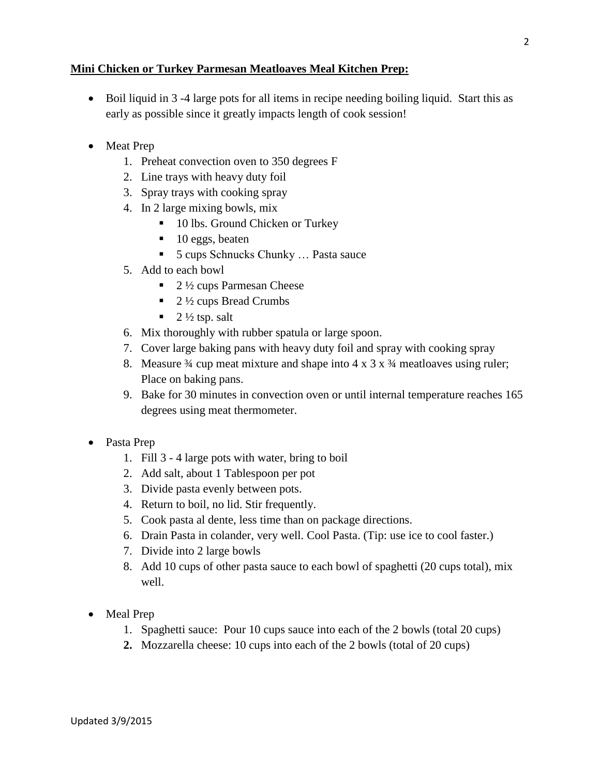#### **Mini Chicken or Turkey Parmesan Meatloaves Meal Kitchen Prep:**

- Boil liquid in 3 -4 large pots for all items in recipe needing boiling liquid. Start this as early as possible since it greatly impacts length of cook session!
- Meat Prep
	- 1. Preheat convection oven to 350 degrees F
	- 2. Line trays with heavy duty foil
	- 3. Spray trays with cooking spray
	- 4. In 2 large mixing bowls, mix
		- 10 lbs. Ground Chicken or Turkey
		- $\blacksquare$  10 eggs, beaten
		- 5 cups Schnucks Chunky … Pasta sauce
	- 5. Add to each bowl
		- $\blacksquare$  2  $\frac{1}{2}$  cups Parmesan Cheese
		- $\blacksquare$  2  $\frac{1}{2}$  cups Bread Crumbs
		- $\blacksquare$  2  $\frac{1}{2}$  tsp. salt
	- 6. Mix thoroughly with rubber spatula or large spoon.
	- 7. Cover large baking pans with heavy duty foil and spray with cooking spray
	- 8. Measure  $\frac{3}{4}$  cup meat mixture and shape into  $4 \times 3 \times 34$  meatloaves using ruler; Place on baking pans.
	- 9. Bake for 30 minutes in convection oven or until internal temperature reaches 165 degrees using meat thermometer.
- Pasta Prep
	- 1. Fill 3 4 large pots with water, bring to boil
	- 2. Add salt, about 1 Tablespoon per pot
	- 3. Divide pasta evenly between pots.
	- 4. Return to boil, no lid. Stir frequently.
	- 5. Cook pasta al dente, less time than on package directions.
	- 6. Drain Pasta in colander, very well. Cool Pasta. (Tip: use ice to cool faster.)
	- 7. Divide into 2 large bowls
	- 8. Add 10 cups of other pasta sauce to each bowl of spaghetti (20 cups total), mix well.
- Meal Prep
	- 1. Spaghetti sauce: Pour 10 cups sauce into each of the 2 bowls (total 20 cups)
	- **2.** Mozzarella cheese: 10 cups into each of the 2 bowls (total of 20 cups)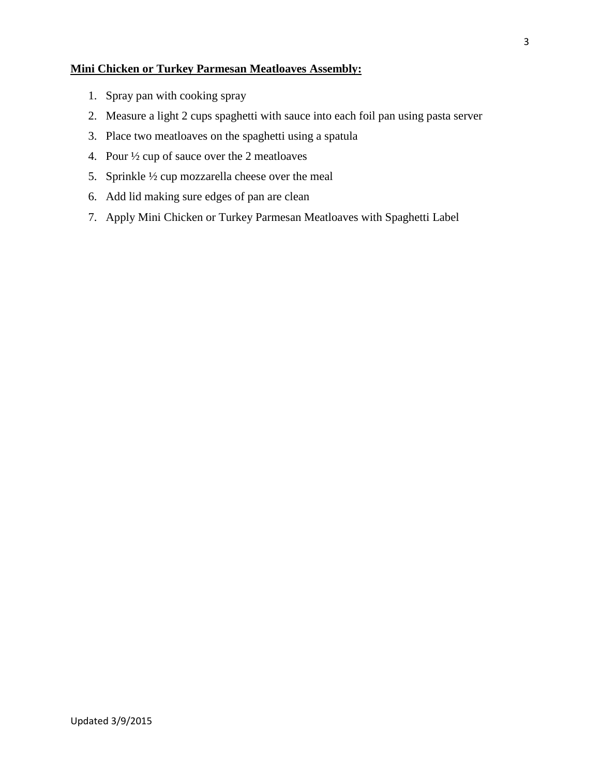# **Mini Chicken or Turkey Parmesan Meatloaves Assembly:**

- 1. Spray pan with cooking spray
- 2. Measure a light 2 cups spaghetti with sauce into each foil pan using pasta server
- 3. Place two meatloaves on the spaghetti using a spatula
- 4. Pour ½ cup of sauce over the 2 meatloaves
- 5. Sprinkle ½ cup mozzarella cheese over the meal
- 6. Add lid making sure edges of pan are clean
- 7. Apply Mini Chicken or Turkey Parmesan Meatloaves with Spaghetti Label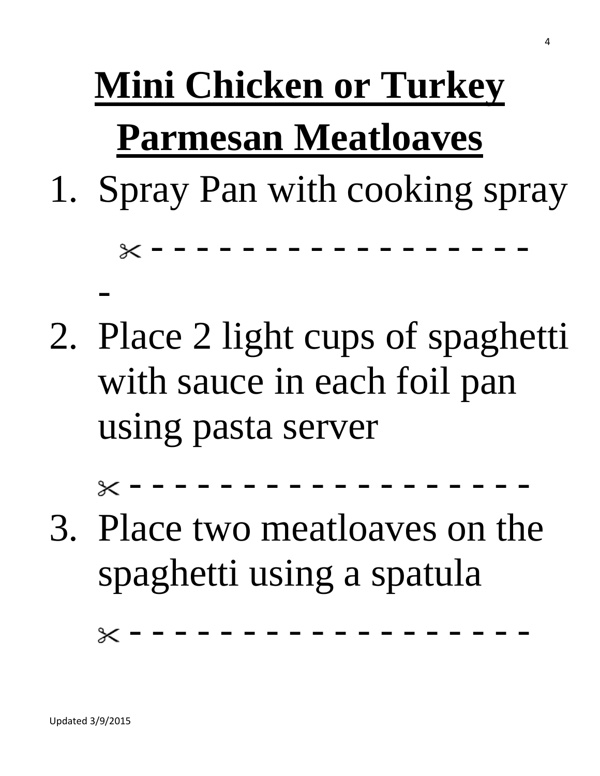# **Mini Chicken or Turkey Parmesan Meatloaves**

1. Spray Pan with cooking spray

- - - - - - - - - - - - - - - - -

2. Place 2 light cups of spaghetti with sauce in each foil pan using pasta server

- - - - - - - - - - - - - - - - - -

3. Place two meatloaves on the spaghetti using a spatula

 $-\times$  - - - - - - - - -  $-$ 

-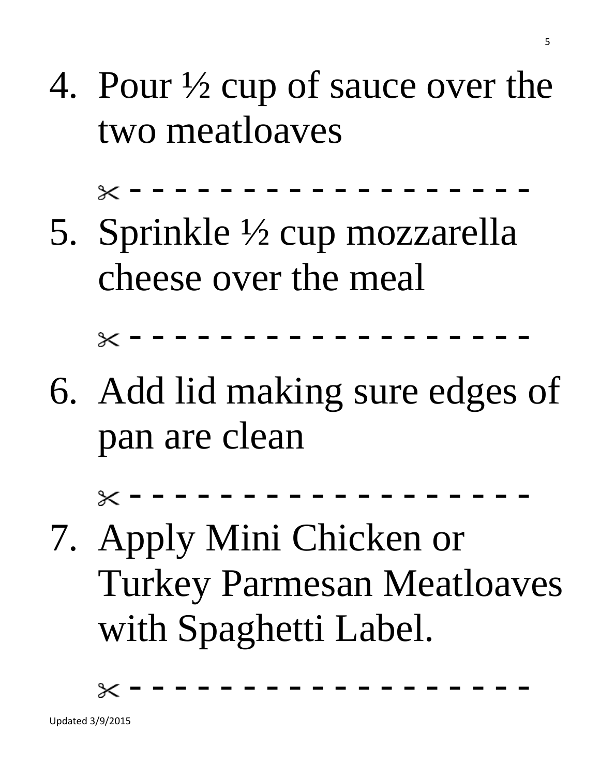# 4. Pour ½ cup of sauce over the two meatloaves

- - - - - - - - - - - - - - - - - -

5. Sprinkle ½ cup mozzarella cheese over the meal

- - - - - - - - - - - - - - - - - -

6. Add lid making sure edges of pan are clean

- - - - - - - - - - - - - - - - - -

7. Apply Mini Chicken or Turkey Parmesan Meatloaves with Spaghetti Label.

- - - - - - - - - - - - - - - - - -